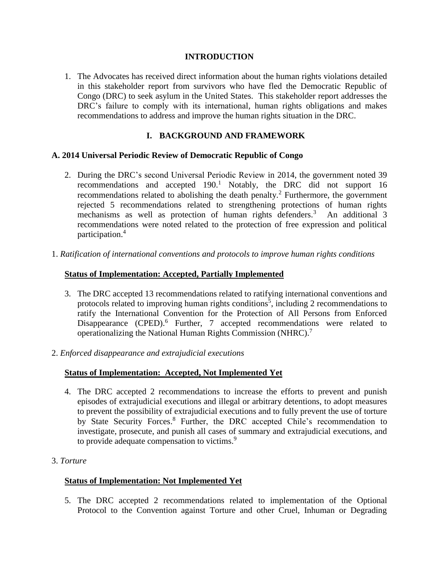# **INTRODUCTION**

1. The Advocates has received direct information about the human rights violations detailed in this stakeholder report from survivors who have fled the Democratic Republic of Congo (DRC) to seek asylum in the United States. This stakeholder report addresses the DRC's failure to comply with its international, human rights obligations and makes recommendations to address and improve the human rights situation in the DRC.

# **I. BACKGROUND AND FRAMEWORK**

# **A. 2014 Universal Periodic Review of Democratic Republic of Congo**

- 2. During the DRC's second Universal Periodic Review in 2014, the government noted 39 recommendations and accepted  $190<sup>1</sup>$  Notably, the DRC did not support 16 recommendations related to abolishing the death penalty.<sup>2</sup> Furthermore, the government rejected 5 recommendations related to strengthening protections of human rights mechanisms as well as protection of human rights defenders.<sup>3</sup> An additional 3 recommendations were noted related to the protection of free expression and political participation.<sup>4</sup>
- 1. *Ratification of international conventions and protocols to improve human rights conditions*

# **Status of Implementation: Accepted, Partially Implemented**

- 3. The DRC accepted 13 recommendations related to ratifying international conventions and protocols related to improving human rights conditions<sup>5</sup>, including 2 recommendations to ratify the International Convention for the Protection of All Persons from Enforced Disappearance (CPED).<sup>6</sup> Further, 7 accepted recommendations were related to operationalizing the National Human Rights Commission (NHRC).<sup>7</sup>
- 2. *Enforced disappearance and extrajudicial executions*

# **Status of Implementation: Accepted, Not Implemented Yet**

- 4. The DRC accepted 2 recommendations to increase the efforts to prevent and punish episodes of extrajudicial executions and illegal or arbitrary detentions, to adopt measures to prevent the possibility of extrajudicial executions and to fully prevent the use of torture by State Security Forces.<sup>8</sup> Further, the DRC accepted Chile's recommendation to investigate, prosecute, and punish all cases of summary and extrajudicial executions, and to provide adequate compensation to victims.<sup>9</sup>
- 3. *Torture*

### **Status of Implementation: Not Implemented Yet**

5. The DRC accepted 2 recommendations related to implementation of the Optional Protocol to the Convention against Torture and other Cruel, Inhuman or Degrading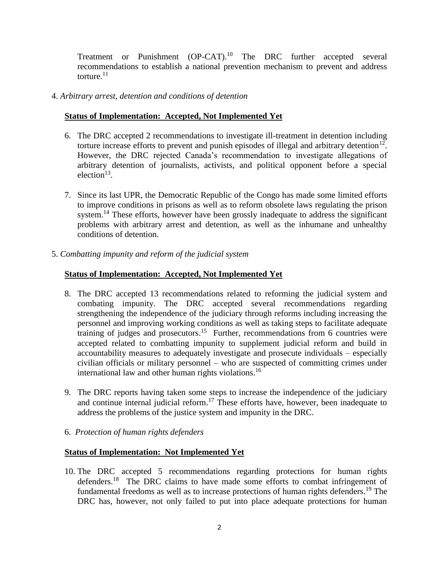Treatment or Punishment (OP-CAT).<sup>10</sup> The DRC further accepted several recommendations to establish a national prevention mechanism to prevent and address torture.<sup>11</sup>

# 4. *Arbitrary arrest, detention and conditions of detention*

# **Status of Implementation: Accepted, Not Implemented Yet**

- 6. The DRC accepted 2 recommendations to investigate ill-treatment in detention including torture increase efforts to prevent and punish episodes of illegal and arbitrary detention<sup>12</sup>. However, the DRC rejected Canada's recommendation to investigate allegations of arbitrary detention of journalists, activists, and political opponent before a special  $election<sup>13</sup>$ .
- 7. Since its last UPR, the Democratic Republic of the Congo has made some limited efforts to improve conditions in prisons as well as to reform obsolete laws regulating the prison system.<sup>14</sup> These efforts, however have been grossly inadequate to address the significant problems with arbitrary arrest and detention, as well as the inhumane and unhealthy conditions of detention.
- 5. *Combatting impunity and reform of the judicial system*

# **Status of Implementation: Accepted, Not Implemented Yet**

- 8. The DRC accepted 13 recommendations related to reforming the judicial system and combating impunity. The DRC accepted several recommendations regarding strengthening the independence of the judiciary through reforms including increasing the personnel and improving working conditions as well as taking steps to facilitate adequate training of judges and prosecutors.<sup>15</sup> Further, recommendations from 6 countries were accepted related to combatting impunity to supplement judicial reform and build in accountability measures to adequately investigate and prosecute individuals – especially civilian officials or military personnel – who are suspected of committing crimes under international law and other human rights violations. 16
- 9. The DRC reports having taken some steps to increase the independence of the judiciary and continue internal judicial reform. <sup>17</sup> These efforts have, however, been inadequate to address the problems of the justice system and impunity in the DRC.
- 6. *Protection of human rights defenders*

### **Status of Implementation: Not Implemented Yet**

10. The DRC accepted 5 recommendations regarding protections for human rights defenders.<sup>18</sup> The DRC claims to have made some efforts to combat infringement of fundamental freedoms as well as to increase protections of human rights defenders.<sup>19</sup> The DRC has, however, not only failed to put into place adequate protections for human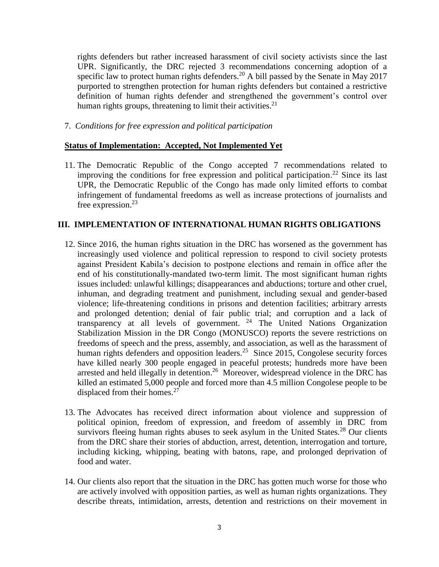rights defenders but rather increased harassment of civil society activists since the last UPR. Significantly, the DRC rejected 3 recommendations concerning adoption of a specific law to protect human rights defenders.<sup>20</sup> A bill passed by the Senate in May 2017 purported to strengthen protection for human rights defenders but contained a restrictive definition of human rights defender and strengthened the government's control over human rights groups, threatening to limit their activities.<sup>21</sup>

7. *Conditions for free expression and political participation*

### **Status of Implementation: Accepted, Not Implemented Yet**

11. The Democratic Republic of the Congo accepted 7 recommendations related to improving the conditions for free expression and political participation.<sup>22</sup> Since its last UPR, the Democratic Republic of the Congo has made only limited efforts to combat infringement of fundamental freedoms as well as increase protections of journalists and free expression.<sup>23</sup>

### **III. IMPLEMENTATION OF INTERNATIONAL HUMAN RIGHTS OBLIGATIONS**

- 12. Since 2016, the human rights situation in the DRC has worsened as the government has increasingly used violence and political repression to respond to civil society protests against President Kabila's decision to postpone elections and remain in office after the end of his constitutionally-mandated two-term limit. The most significant human rights issues included: unlawful killings; disappearances and abductions; torture and other cruel, inhuman, and degrading treatment and punishment, including sexual and gender-based violence; life-threatening conditions in prisons and detention facilities; arbitrary arrests and prolonged detention; denial of fair public trial; and corruption and a lack of transparency at all levels of government.  $24$  The United Nations Organization Stabilization Mission in the DR Congo (MONUSCO) reports the severe restrictions on freedoms of speech and the press, assembly, and association, as well as the harassment of human rights defenders and opposition leaders.<sup>25</sup> Since 2015, Congolese security forces have killed nearly 300 people engaged in peaceful protests; hundreds more have been arrested and held illegally in detention.<sup>26</sup> Moreover, widespread violence in the DRC has killed an estimated 5,000 people and forced more than 4.5 million Congolese people to be displaced from their homes. $27$
- 13. The Advocates has received direct information about violence and suppression of political opinion, freedom of expression, and freedom of assembly in DRC from survivors fleeing human rights abuses to seek asylum in the United States.<sup>28</sup> Our clients from the DRC share their stories of abduction, arrest, detention, interrogation and torture, including kicking, whipping, beating with batons, rape, and prolonged deprivation of food and water.
- 14. Our clients also report that the situation in the DRC has gotten much worse for those who are actively involved with opposition parties, as well as human rights organizations. They describe threats, intimidation, arrests, detention and restrictions on their movement in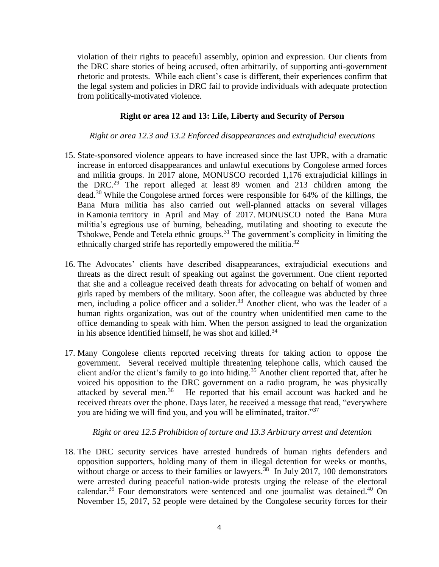violation of their rights to peaceful assembly, opinion and expression. Our clients from the DRC share stories of being accused, often arbitrarily, of supporting anti-government rhetoric and protests. While each client's case is different, their experiences confirm that the legal system and policies in DRC fail to provide individuals with adequate protection from politically-motivated violence.

#### **Right or area 12 and 13: Life, Liberty and Security of Person**

*Right or area 12.3 and 13.2 Enforced disappearances and extrajudicial executions*

- 15. State-sponsored violence appears to have increased since the last UPR, with a dramatic increase in enforced disappearances and unlawful executions by Congolese armed forces and militia groups. In 2017 alone, MONUSCO recorded 1,176 extrajudicial killings in the DRC.<sup>29</sup> The report alleged at least 89 women and 213 children among the dead.<sup>30</sup> While the Congolese armed forces were responsible for 64% of the killings, the Bana Mura militia has also carried out well-planned attacks on several villages in Kamonia territory in April and May of 2017. MONUSCO noted the Bana Mura militia's egregious use of burning, beheading, mutilating and shooting to execute the Tshokwe, Pende and Tetela ethnic groups.<sup>31</sup> The government's complicity in limiting the ethnically charged strife has reportedly empowered the militia. $32$
- 16. The Advocates' clients have described disappearances, extrajudicial executions and threats as the direct result of speaking out against the government. One client reported that she and a colleague received death threats for advocating on behalf of women and girls raped by members of the military. Soon after, the colleague was abducted by three men, including a police officer and a solider.<sup>33</sup> Another client, who was the leader of a human rights organization, was out of the country when unidentified men came to the office demanding to speak with him. When the person assigned to lead the organization in his absence identified himself, he was shot and killed.<sup>34</sup>
- 17. Many Congolese clients reported receiving threats for taking action to oppose the government. Several received multiple threatening telephone calls, which caused the client and/or the client's family to go into hiding. <sup>35</sup> Another client reported that, after he voiced his opposition to the DRC government on a radio program, he was physically attacked by several men.<sup>36</sup> He reported that his email account was hacked and he received threats over the phone. Days later, he received a message that read, "everywhere you are hiding we will find you, and you will be eliminated, traitor."<sup>37</sup>

#### *Right or area 12.5 Prohibition of torture and 13.3 Arbitrary arrest and detention*

18. The DRC security services have arrested hundreds of human rights defenders and opposition supporters, holding many of them in illegal detention for weeks or months, without charge or access to their families or lawyers.<sup>38</sup> In July 2017, 100 demonstrators were arrested during peaceful nation-wide protests urging the release of the electoral calendar.<sup>39</sup> Four demonstrators were sentenced and one journalist was detained.<sup>40</sup> On November 15, 2017, 52 people were detained by the Congolese security forces for their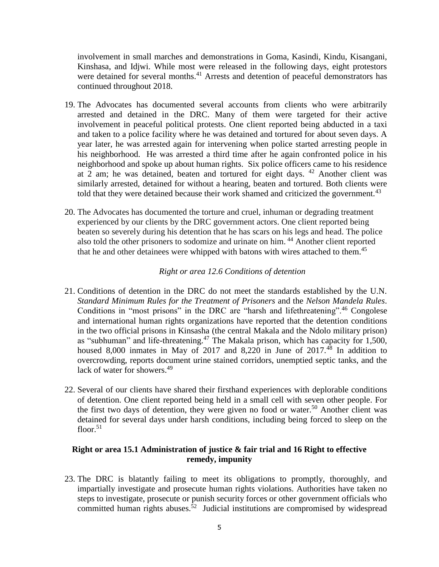involvement in small marches and demonstrations in Goma, Kasindi, Kindu, Kisangani, Kinshasa, and Idjwi. While most were released in the following days, eight protestors were detained for several months.<sup>41</sup> Arrests and detention of peaceful demonstrators has continued throughout 2018.

- 19. The Advocates has documented several accounts from clients who were arbitrarily arrested and detained in the DRC. Many of them were targeted for their active involvement in peaceful political protests. One client reported being abducted in a taxi and taken to a police facility where he was detained and tortured for about seven days. A year later, he was arrested again for intervening when police started arresting people in his neighborhood. He was arrested a third time after he again confronted police in his neighborhood and spoke up about human rights. Six police officers came to his residence at 2 am; he was detained, beaten and tortured for eight days. <sup>42</sup> Another client was similarly arrested, detained for without a hearing, beaten and tortured. Both clients were told that they were detained because their work shamed and criticized the government.<sup>43</sup>
- 20. The Advocates has documented the torture and cruel, inhuman or degrading treatment experienced by our clients by the DRC government actors. One client reported being beaten so severely during his detention that he has scars on his legs and head. The police also told the other prisoners to sodomize and urinate on him. <sup>44</sup> Another client reported that he and other detainees were whipped with batons with wires attached to them.<sup>45</sup>

### *Right or area 12.6 Conditions of detention*

- 21. Conditions of detention in the DRC do not meet the standards established by the U.N. *Standard Minimum Rules for the Treatment of Prisoners* and the *Nelson Mandela Rules*. Conditions in "most prisons" in the DRC are "harsh and lifethreatening".<sup>46</sup> Congolese and international human rights organizations have reported that the detention conditions in the two official prisons in Kinsasha (the central Makala and the Ndolo military prison) as "subhuman" and life-threatening.<sup>47</sup> The Makala prison, which has capacity for 1,500, housed 8,000 inmates in May of 2017 and 8,220 in June of  $2017<sup>48</sup>$  In addition to overcrowding, reports document urine stained corridors, unemptied septic tanks, and the lack of water for showers.<sup>49</sup>
- 22. Several of our clients have shared their firsthand experiences with deplorable conditions of detention. One client reported being held in a small cell with seven other people. For the first two days of detention, they were given no food or water.<sup>50</sup> Another client was detained for several days under harsh conditions, including being forced to sleep on the floor. $51$

### **Right or area 15.1 Administration of justice & fair trial and 16 Right to effective remedy, impunity**

23. The DRC is blatantly failing to meet its obligations to promptly, thoroughly, and impartially investigate and prosecute human rights violations. Authorities have taken no steps to investigate, prosecute or punish security forces or other government officials who committed human rights abuses.<sup>52</sup> Judicial institutions are compromised by widespread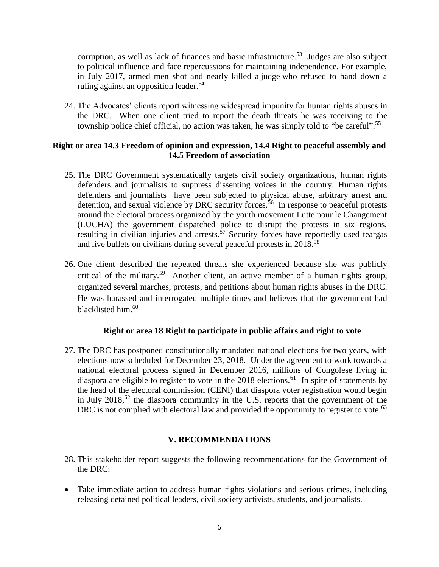corruption, as well as lack of finances and basic infrastructure.<sup>53</sup> Judges are also subject to political influence and face repercussions for maintaining independence. For example, in July 2017, armed men shot and nearly killed a judge who refused to hand down a ruling against an opposition leader.<sup>54</sup>

24. The Advocates' clients report witnessing widespread impunity for human rights abuses in the DRC. When one client tried to report the death threats he was receiving to the township police chief official, no action was taken; he was simply told to "be careful".<sup>55</sup>

### **Right or area 14.3 Freedom of opinion and expression, 14.4 Right to peaceful assembly and 14.5 Freedom of association**

- 25. The DRC Government systematically targets civil society organizations, human rights defenders and journalists to suppress dissenting voices in the country. Human rights defenders and journalists have been subjected to physical abuse, arbitrary arrest and detention, and sexual violence by DRC security forces.<sup>56</sup> In response to peaceful protests around the electoral process organized by the youth movement Lutte pour le Changement (LUCHA) the government dispatched police to disrupt the protests in six regions, resulting in civilian injuries and arrests.<sup>57</sup> Security forces have reportedly used teargas and live bullets on civilians during several peaceful protests in 2018.<sup>58</sup>
- 26. One client described the repeated threats she experienced because she was publicly critical of the military.<sup>59</sup> Another client, an active member of a human rights group, organized several marches, protests, and petitions about human rights abuses in the DRC. He was harassed and interrogated multiple times and believes that the government had blacklisted him.<sup>60</sup>

### **Right or area 18 Right to participate in public affairs and right to vote**

27. The DRC has postponed constitutionally mandated national elections for two years, with elections now scheduled for December 23, 2018. Under the agreement to work towards a national electoral process signed in December 2016, millions of Congolese living in diaspora are eligible to register to vote in the  $2018$  elections.<sup>61</sup> In spite of statements by the head of the electoral commission (CENI) that diaspora voter registration would begin in July  $2018$ ,  $62$  the diaspora community in the U.S. reports that the government of the DRC is not complied with electoral law and provided the opportunity to register to vote.<sup>63</sup>

### **V. RECOMMENDATIONS**

- 28. This stakeholder report suggests the following recommendations for the Government of the DRC:
- Take immediate action to address human rights violations and serious crimes, including releasing detained political leaders, civil society activists, students, and journalists.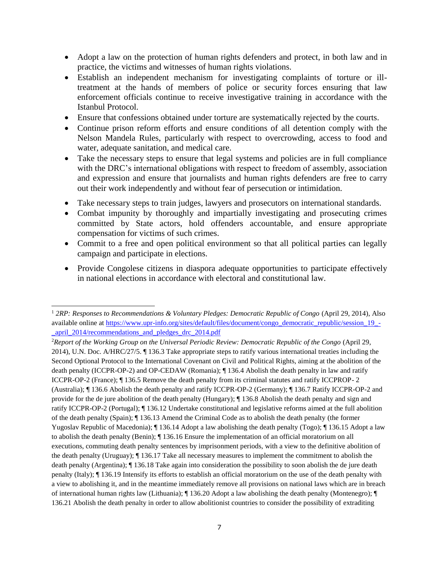- Adopt a law on the protection of human rights defenders and protect, in both law and in practice, the victims and witnesses of human rights violations.
- Establish an independent mechanism for investigating complaints of torture or illtreatment at the hands of members of police or security forces ensuring that law enforcement officials continue to receive investigative training in accordance with the Istanbul Protocol.
- Ensure that confessions obtained under torture are systematically rejected by the courts.
- Continue prison reform efforts and ensure conditions of all detention comply with the Nelson Mandela Rules, particularly with respect to overcrowding, access to food and water, adequate sanitation, and medical care.
- Take the necessary steps to ensure that legal systems and policies are in full compliance with the DRC's international obligations with respect to freedom of assembly, association and expression and ensure that journalists and human rights defenders are free to carry out their work independently and without fear of persecution or intimidation.
- Take necessary steps to train judges, lawyers and prosecutors on international standards.
- Combat impunity by thoroughly and impartially investigating and prosecuting crimes committed by State actors, hold offenders accountable, and ensure appropriate compensation for victims of such crimes.
- Commit to a free and open political environment so that all political parties can legally campaign and participate in elections.
- Provide Congolese citizens in diaspora adequate opportunities to participate effectively in national elections in accordance with electoral and constitutional law.

<sup>1</sup> *2RP: Responses to Recommendations & Voluntary Pledges: Democratic Republic of Congo* (April 29, 2014), Also available online at [https://www.upr-info.org/sites/default/files/document/congo\\_democratic\\_republic/session\\_19\\_-](https://www.upr-info.org/sites/default/files/document/congo_democratic_republic/session_19_-_april_2014/recommendations_and_pledges_drc_2014.pdf) [\\_april\\_2014/recommendations\\_and\\_pledges\\_drc\\_2014.pdf](https://www.upr-info.org/sites/default/files/document/congo_democratic_republic/session_19_-_april_2014/recommendations_and_pledges_drc_2014.pdf)

<sup>2</sup>*Report of the Working Group on the Universal Periodic Review: Democratic Republic of the Congo* (April 29, 2014), U.N. Doc. A/HRC/27/5. ¶ 136.3 Take appropriate steps to ratify various international treaties including the Second Optional Protocol to the International Covenant on Civil and Political Rights, aiming at the abolition of the death penalty (ICCPR-OP-2) and OP-CEDAW (Romania); ¶ 136.4 Abolish the death penalty in law and ratify ICCPR-OP-2 (France); ¶ 136.5 Remove the death penalty from its criminal statutes and ratify ICCPROP- 2 (Australia); ¶ 136.6 Abolish the death penalty and ratify ICCPR-OP-2 (Germany); ¶ 136.7 Ratify ICCPR-OP-2 and provide for the de jure abolition of the death penalty (Hungary); ¶ 136.8 Abolish the death penalty and sign and ratify ICCPR-OP-2 (Portugal); ¶ 136.12 Undertake constitutional and legislative reforms aimed at the full abolition of the death penalty (Spain); ¶ 136.13 Amend the Criminal Code as to abolish the death penalty (the former Yugoslav Republic of Macedonia); ¶ 136.14 Adopt a law abolishing the death penalty (Togo); ¶ 136.15 Adopt a law to abolish the death penalty (Benin); ¶ 136.16 Ensure the implementation of an official moratorium on all executions, commuting death penalty sentences by imprisonment periods, with a view to the definitive abolition of the death penalty (Uruguay); ¶ 136.17 Take all necessary measures to implement the commitment to abolish the death penalty (Argentina); ¶ 136.18 Take again into consideration the possibility to soon abolish the de jure death penalty (Italy); ¶ 136.19 Intensify its efforts to establish an official moratorium on the use of the death penalty with a view to abolishing it, and in the meantime immediately remove all provisions on national laws which are in breach of international human rights law (Lithuania); ¶ 136.20 Adopt a law abolishing the death penalty (Montenegro); ¶ 136.21 Abolish the death penalty in order to allow abolitionist countries to consider the possibility of extraditing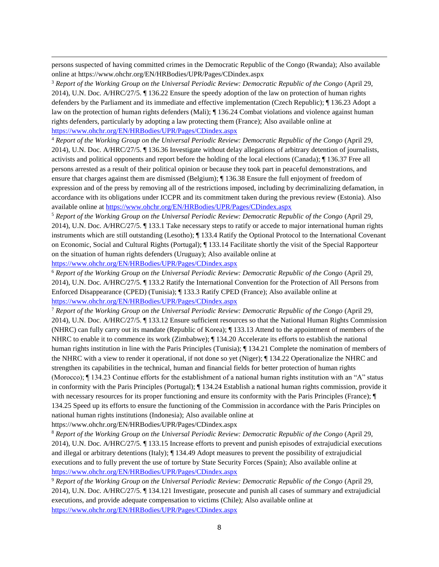persons suspected of having committed crimes in the Democratic Republic of the Congo (Rwanda); Also available online at https://www.ohchr.org/EN/HRBodies/UPR/Pages/CDindex.aspx

<sup>3</sup> *Report of the Working Group on the Universal Periodic Review: Democratic Republic of the Congo* (April 29, 2014), U.N. Doc. A/HRC/27/5. ¶ 136.22 Ensure the speedy adoption of the law on protection of human rights defenders by the Parliament and its immediate and effective implementation (Czech Republic); ¶ 136.23 Adopt a law on the protection of human rights defenders (Mali); ¶ 136.24 Combat violations and violence against human rights defenders, particularly by adopting a law protecting them (France); Also available online at <https://www.ohchr.org/EN/HRBodies/UPR/Pages/CDindex.aspx>

<sup>4</sup> *Report of the Working Group on the Universal Periodic Review: Democratic Republic of the Congo* (April 29, 2014), U.N. Doc. A/HRC/27/5. ¶ 136.36 Investigate without delay allegations of arbitrary detention of journalists, activists and political opponents and report before the holding of the local elections (Canada); ¶ 136.37 Free all persons arrested as a result of their political opinion or because they took part in peaceful demonstrations, and ensure that charges against them are dismissed (Belgium); ¶ 136.38 Ensure the full enjoyment of freedom of expression and of the press by removing all of the restrictions imposed, including by decriminalizing defamation, in accordance with its obligations under ICCPR and its commitment taken during the previous review (Estonia). Also available online at<https://www.ohchr.org/EN/HRBodies/UPR/Pages/CDindex.aspx>

<sup>5</sup> *Report of the Working Group on the Universal Periodic Review: Democratic Republic of the Congo* (April 29, 2014), U.N. Doc. A/HRC/27/5. ¶ 133.1 Take necessary steps to ratify or accede to major international human rights instruments which are still outstanding (Lesotho); ¶ 133.4 Ratify the Optional Protocol to the International Covenant on Economic, Social and Cultural Rights (Portugal); ¶ 133.14 Facilitate shortly the visit of the Special Rapporteur on the situation of human rights defenders (Uruguay); Also available online at <https://www.ohchr.org/EN/HRBodies/UPR/Pages/CDindex.aspx>

<sup>6</sup> *Report of the Working Group on the Universal Periodic Review: Democratic Republic of the Congo* (April 29, 2014), U.N. Doc. A/HRC/27/5. ¶ 133.2 Ratify the International Convention for the Protection of All Persons from Enforced Disappearance (CPED) (Tunisia); ¶ 133.3 Ratify CPED (France); Also available online at <https://www.ohchr.org/EN/HRBodies/UPR/Pages/CDindex.aspx>

<sup>7</sup> *Report of the Working Group on the Universal Periodic Review: Democratic Republic of the Congo* (April 29, 2014), U.N. Doc. A/HRC/27/5. ¶ 133.12 Ensure sufficient resources so that the National Human Rights Commission (NHRC) can fully carry out its mandate (Republic of Korea); ¶ 133.13 Attend to the appointment of members of the NHRC to enable it to commence its work (Zimbabwe);  $\P$  134.20 Accelerate its efforts to establish the national human rights institution in line with the Paris Principles (Tunisia);  $\P$  134.21 Complete the nomination of members of the NHRC with a view to render it operational, if not done so yet (Niger); ¶ 134.22 Operationalize the NHRC and strengthen its capabilities in the technical, human and financial fields for better protection of human rights (Morocco); ¶ 134.23 Continue efforts for the establishment of a national human rights institution with an "A" status in conformity with the Paris Principles (Portugal); ¶ 134.24 Establish a national human rights commission, provide it with necessary resources for its proper functioning and ensure its conformity with the Paris Principles (France);  $\P$ 134.25 Speed up its efforts to ensure the functioning of the Commission in accordance with the Paris Principles on national human rights institutions (Indonesia); Also available online at

https://www.ohchr.org/EN/HRBodies/UPR/Pages/CDindex.aspx

<sup>8</sup> *Report of the Working Group on the Universal Periodic Review: Democratic Republic of the Congo* (April 29, 2014), U.N. Doc. A/HRC/27/5. ¶ 133.15 Increase efforts to prevent and punish episodes of extrajudicial executions and illegal or arbitrary detentions (Italy); ¶ 134.49 Adopt measures to prevent the possibility of extrajudicial executions and to fully prevent the use of torture by State Security Forces (Spain); Also available online at <https://www.ohchr.org/EN/HRBodies/UPR/Pages/CDindex.aspx>

<sup>9</sup> *Report of the Working Group on the Universal Periodic Review: Democratic Republic of the Congo* (April 29, 2014), U.N. Doc. A/HRC/27/5. ¶ 134.121 Investigate, prosecute and punish all cases of summary and extrajudicial executions, and provide adequate compensation to victims (Chile); Also available online at <https://www.ohchr.org/EN/HRBodies/UPR/Pages/CDindex.aspx>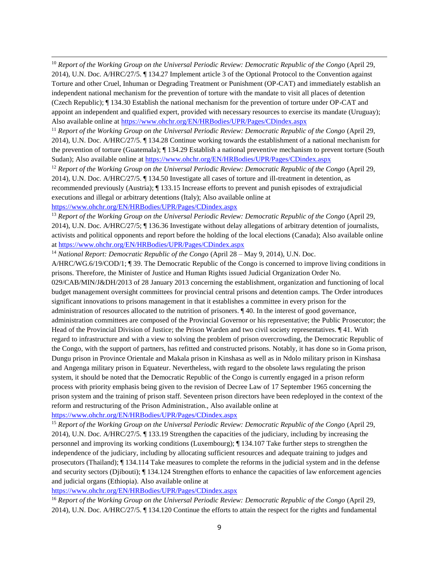<sup>10</sup> *Report of the Working Group on the Universal Periodic Review: Democratic Republic of the Congo* (April 29, 2014), U.N. Doc. A/HRC/27/5. ¶ 134.27 Implement article 3 of the Optional Protocol to the Convention against Torture and other Cruel, Inhuman or Degrading Treatment or Punishment (OP-CAT) and immediately establish an independent national mechanism for the prevention of torture with the mandate to visit all places of detention (Czech Republic); ¶ 134.30 Establish the national mechanism for the prevention of torture under OP-CAT and appoint an independent and qualified expert, provided with necessary resources to exercise its mandate (Uruguay); Also available online at<https://www.ohchr.org/EN/HRBodies/UPR/Pages/CDindex.aspx>

<sup>11</sup> *Report of the Working Group on the Universal Periodic Review: Democratic Republic of the Congo* (April 29, 2014), U.N. Doc. A/HRC/27/5. ¶ 134.28 Continue working towards the establishment of a national mechanism for the prevention of torture (Guatemala); ¶ 134.29 Establish a national preventive mechanism to prevent torture (South Sudan); Also available online at<https://www.ohchr.org/EN/HRBodies/UPR/Pages/CDindex.aspx>

<sup>12</sup> *Report of the Working Group on the Universal Periodic Review: Democratic Republic of the Congo* (April 29, 2014), U.N. Doc. A/HRC/27/5. ¶ 134.50 Investigate all cases of torture and ill-treatment in detention, as recommended previously (Austria); ¶ 133.15 Increase efforts to prevent and punish episodes of extrajudicial executions and illegal or arbitrary detentions (Italy); Also available online at

<https://www.ohchr.org/EN/HRBodies/UPR/Pages/CDindex.aspx>

<sup>13</sup> *Report of the Working Group on the Universal Periodic Review: Democratic Republic of the Congo* (April 29, 2014), U.N. Doc. A/HRC/27/5; ¶ 136.36 Investigate without delay allegations of arbitrary detention of journalists, activists and political opponents and report before the holding of the local elections (Canada); Also available online a[t https://www.ohchr.org/EN/HRBodies/UPR/Pages/CDindex.aspx](https://www.ohchr.org/EN/HRBodies/UPR/Pages/CDindex.aspx)

<sup>14</sup> *National Report: Democratic Republic of the Congo* (April 28 – May 9, 2014), U.N. Doc.

A/HRC/WG.6/19/COD/1; ¶ 39. The Democratic Republic of the Congo is concerned to improve living conditions in prisons. Therefore, the Minister of Justice and Human Rights issued Judicial Organization Order No. 029/CAB/MIN/J&DH/2013 of 28 January 2013 concerning the establishment, organization and functioning of local budget management oversight committees for provincial central prisons and detention camps. The Order introduces significant innovations to prisons management in that it establishes a committee in every prison for the administration of resources allocated to the nutrition of prisoners. ¶ 40. In the interest of good governance, administration committees are composed of the Provincial Governor or his representative; the Public Prosecutor; the Head of the Provincial Division of Justice; the Prison Warden and two civil society representatives. ¶ 41. With regard to infrastructure and with a view to solving the problem of prison overcrowding, the Democratic Republic of the Congo, with the support of partners, has refitted and constructed prisons. Notably, it has done so in Goma prison, Dungu prison in Province Orientale and Makala prison in Kinshasa as well as in Ndolo military prison in Kinshasa and Angenga military prison in Equateur. Nevertheless, with regard to the obsolete laws regulating the prison system, it should be noted that the Democratic Republic of the Congo is currently engaged in a prison reform process with priority emphasis being given to the revision of Decree Law of 17 September 1965 concerning the prison system and the training of prison staff. Seventeen prison directors have been redeployed in the context of the reform and restructuring of the Prison Administration., Also available online at

<https://www.ohchr.org/EN/HRBodies/UPR/Pages/CDindex.aspx>

<sup>15</sup> *Report of the Working Group on the Universal Periodic Review: Democratic Republic of the Congo* (April 29, 2014), U.N. Doc. A/HRC/27/5. ¶ 133.19 Strengthen the capacities of the judiciary, including by increasing the personnel and improving its working conditions (Luxembourg); ¶ 134.107 Take further steps to strengthen the independence of the judiciary, including by allocating sufficient resources and adequate training to judges and prosecutors (Thailand); ¶ 134.114 Take measures to complete the reforms in the judicial system and in the defense and security sectors (Djibouti); ¶ 134.124 Strengthen efforts to enhance the capacities of law enforcement agencies and judicial organs (Ethiopia). Also available online at

<https://www.ohchr.org/EN/HRBodies/UPR/Pages/CDindex.aspx>

<sup>16</sup> *Report of the Working Group on the Universal Periodic Review: Democratic Republic of the Congo* (April 29, 2014), U.N. Doc. A/HRC/27/5. ¶ 134.120 Continue the efforts to attain the respect for the rights and fundamental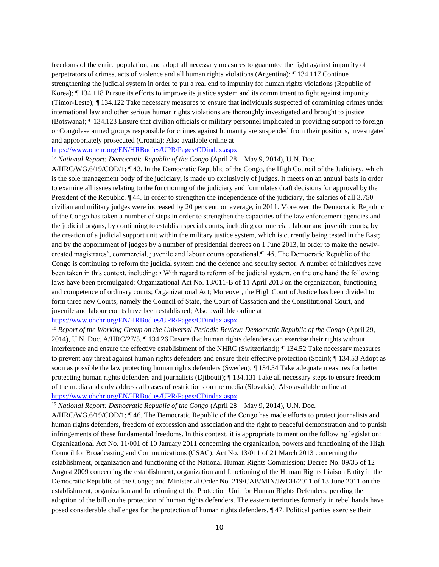freedoms of the entire population, and adopt all necessary measures to guarantee the fight against impunity of perpetrators of crimes, acts of violence and all human rights violations (Argentina); ¶ 134.117 Continue strengthening the judicial system in order to put a real end to impunity for human rights violations (Republic of Korea); ¶ 134.118 Pursue its efforts to improve its justice system and its commitment to fight against impunity (Timor-Leste); ¶ 134.122 Take necessary measures to ensure that individuals suspected of committing crimes under international law and other serious human rights violations are thoroughly investigated and brought to justice (Botswana); ¶ 134.123 Ensure that civilian officials or military personnel implicated in providing support to foreign or Congolese armed groups responsible for crimes against humanity are suspended from their positions, investigated and appropriately prosecuted (Croatia); Also available online at

#### <https://www.ohchr.org/EN/HRBodies/UPR/Pages/CDindex.aspx>

<sup>17</sup> *National Report: Democratic Republic of the Congo* (April 28 – May 9, 2014), U.N. Doc.

A/HRC/WG.6/19/COD/1; ¶ 43. In the Democratic Republic of the Congo, the High Council of the Judiciary, which is the sole management body of the judiciary, is made up exclusively of judges. It meets on an annual basis in order to examine all issues relating to the functioning of the judiciary and formulates draft decisions for approval by the President of the Republic. ¶ 44. In order to strengthen the independence of the judiciary, the salaries of all 3,750 civilian and military judges were increased by 20 per cent, on average, in 2011. Moreover, the Democratic Republic of the Congo has taken a number of steps in order to strengthen the capacities of the law enforcement agencies and the judicial organs, by continuing to establish special courts, including commercial, labour and juvenile courts; by the creation of a judicial support unit within the military justice system, which is currently being tested in the East; and by the appointment of judges by a number of presidential decrees on 1 June 2013, in order to make the newlycreated magistrates', commercial, juvenile and labour courts operational.¶ 45. The Democratic Republic of the Congo is continuing to reform the judicial system and the defence and security sector. A number of initiatives have been taken in this context, including: • With regard to reform of the judicial system, on the one hand the following laws have been promulgated: Organizational Act No. 13/011-B of 11 April 2013 on the organization, functioning and competence of ordinary courts; Organizational Act; Moreover, the High Court of Justice has been divided to form three new Courts, namely the Council of State, the Court of Cassation and the Constitutional Court, and juvenile and labour courts have been established; Also available online at

### <https://www.ohchr.org/EN/HRBodies/UPR/Pages/CDindex.aspx>

<sup>18</sup> *Report of the Working Group on the Universal Periodic Review: Democratic Republic of the Congo* (April 29, 2014), U.N. Doc. A/HRC/27/5. ¶ 134.26 Ensure that human rights defenders can exercise their rights without interference and ensure the effective establishment of the NHRC (Switzerland); ¶ 134.52 Take necessary measures to prevent any threat against human rights defenders and ensure their effective protection (Spain); ¶ 134.53 Adopt as soon as possible the law protecting human rights defenders (Sweden); ¶ 134.54 Take adequate measures for better protecting human rights defenders and journalists (Djibouti); ¶ 134.131 Take all necessary steps to ensure freedom of the media and duly address all cases of restrictions on the media (Slovakia); Also available online at <https://www.ohchr.org/EN/HRBodies/UPR/Pages/CDindex.aspx>

#### <sup>19</sup> *National Report: Democratic Republic of the Congo* (April 28 – May 9, 2014), U.N. Doc.

A/HRC/WG.6/19/COD/1; ¶ 46. The Democratic Republic of the Congo has made efforts to protect journalists and human rights defenders, freedom of expression and association and the right to peaceful demonstration and to punish infringements of these fundamental freedoms. In this context, it is appropriate to mention the following legislation: Organizational Act No. 11/001 of 10 January 2011 concerning the organization, powers and functioning of the High Council for Broadcasting and Communications (CSAC); Act No. 13/011 of 21 March 2013 concerning the establishment, organization and functioning of the National Human Rights Commission; Decree No. 09/35 of 12 August 2009 concerning the establishment, organization and functioning of the Human Rights Liaison Entity in the Democratic Republic of the Congo; and Ministerial Order No. 219/CAB/MIN/J&DH/2011 of 13 June 2011 on the establishment, organization and functioning of the Protection Unit for Human Rights Defenders, pending the adoption of the bill on the protection of human rights defenders. The eastern territories formerly in rebel hands have posed considerable challenges for the protection of human rights defenders. ¶ 47. Political parties exercise their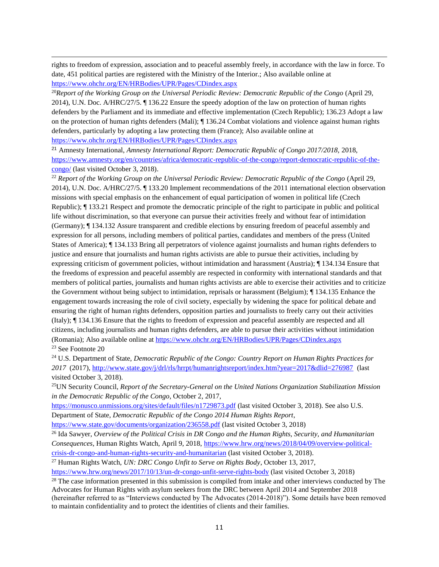rights to freedom of expression, association and to peaceful assembly freely, in accordance with the law in force. To date, 451 political parties are registered with the Ministry of the Interior.; Also available online at <https://www.ohchr.org/EN/HRBodies/UPR/Pages/CDindex.aspx>

<sup>20</sup>*Report of the Working Group on the Universal Periodic Review: Democratic Republic of the Congo* (April 29, 2014), U.N. Doc. A/HRC/27/5. ¶ 136.22 Ensure the speedy adoption of the law on protection of human rights defenders by the Parliament and its immediate and effective implementation (Czech Republic); 136.23 Adopt a law on the protection of human rights defenders (Mali); ¶ 136.24 Combat violations and violence against human rights defenders, particularly by adopting a law protecting them (France); Also available online at <https://www.ohchr.org/EN/HRBodies/UPR/Pages/CDindex.aspx>

<sup>21</sup> Amnesty International, *Amnesty International Report: Democratic Republic of Congo 2017/2018,* 2018, [https://www.amnesty.org/en/countries/africa/democratic-republic-of-the-congo/report-democratic-republic-of-the](https://www.amnesty.org/en/countries/africa/democratic-republic-of-the-congo/report-democratic-republic-of-the-congo/)[congo/](https://www.amnesty.org/en/countries/africa/democratic-republic-of-the-congo/report-democratic-republic-of-the-congo/) (last visited October 3, 2018).

<sup>22</sup> *Report of the Working Group on the Universal Periodic Review: Democratic Republic of the Congo* (April 29, 2014), U.N. Doc. A/HRC/27/5. ¶ 133.20 Implement recommendations of the 2011 international election observation missions with special emphasis on the enhancement of equal participation of women in political life (Czech Republic); ¶ 133.21 Respect and promote the democratic principle of the right to participate in public and political life without discrimination, so that everyone can pursue their activities freely and without fear of intimidation (Germany); ¶ 134.132 Assure transparent and credible elections by ensuring freedom of peaceful assembly and expression for all persons, including members of political parties, candidates and members of the press (United States of America); ¶ 134.133 Bring all perpetrators of violence against journalists and human rights defenders to justice and ensure that journalists and human rights activists are able to pursue their activities, including by expressing criticism of government policies, without intimidation and harassment (Austria); ¶ 134.134 Ensure that the freedoms of expression and peaceful assembly are respected in conformity with international standards and that members of political parties, journalists and human rights activists are able to exercise their activities and to criticize the Government without being subject to intimidation, reprisals or harassment (Belgium); ¶ 134.135 Enhance the engagement towards increasing the role of civil society, especially by widening the space for political debate and ensuring the right of human rights defenders, opposition parties and journalists to freely carry out their activities (Italy); ¶ 134.136 Ensure that the rights to freedom of expression and peaceful assembly are respected and all citizens, including journalists and human rights defenders, are able to pursue their activities without intimidation (Romania); Also available online at<https://www.ohchr.org/EN/HRBodies/UPR/Pages/CDindex.aspx> <sup>23</sup> See Footnote 20

<sup>24</sup> U.S. Department of State, *Democratic Republic of the Congo: Country Report on Human Rights Practices for*  2017 (2017)[, http://www.state.gov/j/drl/rls/hrrpt/humanrightsreport/index.htm?year=2017&dlid=276987](http://www.state.gov/j/drl/rls/hrrpt/humanrightsreport/index.htm?year=2017&dlid=276987) (last visited October 3, 2018).

<sup>25</sup>UN Security Council, *Report of the Secretary-General on the United Nations Organization Stabilization Mission in the Democratic Republic of the Congo*, October 2, 2017,

<https://monusco.unmissions.org/sites/default/files/n1729873.pdf> (last visited October 3, 2018). See also U.S. Department of State, *Democratic Republic of the Congo 2014 Human Rights Report*,

<https://www.state.gov/documents/organization/236558.pdf> (last visited October 3, 2018)

<sup>26</sup> Ida Sawyer, *Overview of the Political Crisis in DR Congo and the Human Rights, Security, and Humanitarian Consequences*, Human Rights Watch, April 9, 2018, [https://www.hrw.org/news/2018/04/09/overview-political](https://www.hrw.org/news/2018/04/09/overview-political-crisis-dr-congo-and-human-rights-security-and-humanitarian)[crisis-dr-congo-and-human-rights-security-and-humanitarian](https://www.hrw.org/news/2018/04/09/overview-political-crisis-dr-congo-and-human-rights-security-and-humanitarian) (last visited October 3, 2018).

<sup>27</sup> Human Rights Watch, *UN: DRC Congo Unfit to Serve on Rights Body*, October 13, 2017,

<https://www.hrw.org/news/2017/10/13/un-dr-congo-unfit-serve-rights-body> (last visited October 3, 2018)

<sup>28</sup> The case information presented in this submission is compiled from intake and other interviews conducted by The Advocates for Human Rights with asylum seekers from the DRC between April 2014 and September 2018 (hereinafter referred to as "Interviews conducted by The Advocates (2014-2018)"). Some details have been removed

to maintain confidentiality and to protect the identities of clients and their families.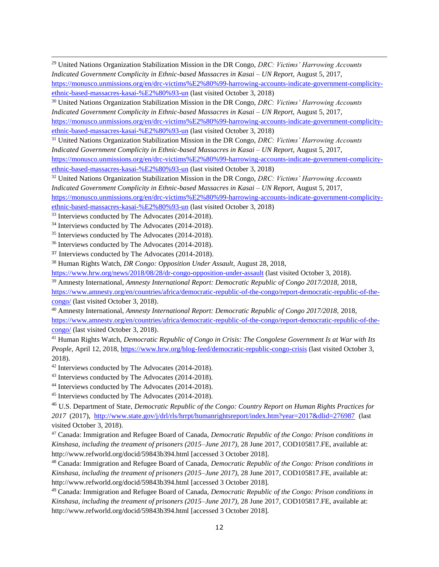<sup>29</sup> United Nations Organization Stabilization Mission in the DR Congo, *DRC: Victims' Harrowing Accounts Indicated Government Complicity in Ethnic-based Massacres in Kasai – UN Report*, August 5, 2017, [https://monusco.unmissions.org/en/drc-victims%E2%80%99-harrowing-accounts-indicate-government-complicity](https://monusco.unmissions.org/en/drc-victims%E2%80%99-harrowing-accounts-indicate-government-complicity-ethnic-based-massacres-kasai-%E2%80%93-un)[ethnic-based-massacres-kasai-%E2%80%93-un](https://monusco.unmissions.org/en/drc-victims%E2%80%99-harrowing-accounts-indicate-government-complicity-ethnic-based-massacres-kasai-%E2%80%93-un) (last visited October 3, 2018)

<sup>30</sup> United Nations Organization Stabilization Mission in the DR Congo, *DRC: Victims' Harrowing Accounts Indicated Government Complicity in Ethnic-based Massacres in Kasai – UN Report*, August 5, 2017, [https://monusco.unmissions.org/en/drc-victims%E2%80%99-harrowing-accounts-indicate-government-complicity](https://monusco.unmissions.org/en/drc-victims%E2%80%99-harrowing-accounts-indicate-government-complicity-ethnic-based-massacres-kasai-%E2%80%93-un)[ethnic-based-massacres-kasai-%E2%80%93-un](https://monusco.unmissions.org/en/drc-victims%E2%80%99-harrowing-accounts-indicate-government-complicity-ethnic-based-massacres-kasai-%E2%80%93-un) (last visited October 3, 2018)

<sup>31</sup> United Nations Organization Stabilization Mission in the DR Congo, *DRC: Victims' Harrowing Accounts Indicated Government Complicity in Ethnic-based Massacres in Kasai – UN Report*, August 5, 2017, [https://monusco.unmissions.org/en/drc-victims%E2%80%99-harrowing-accounts-indicate-government-complicity](https://monusco.unmissions.org/en/drc-victims%E2%80%99-harrowing-accounts-indicate-government-complicity-ethnic-based-massacres-kasai-%E2%80%93-un)[ethnic-based-massacres-kasai-%E2%80%93-un](https://monusco.unmissions.org/en/drc-victims%E2%80%99-harrowing-accounts-indicate-government-complicity-ethnic-based-massacres-kasai-%E2%80%93-un) (last visited October 3, 2018)

<sup>32</sup> United Nations Organization Stabilization Mission in the DR Congo, *DRC: Victims' Harrowing Accounts Indicated Government Complicity in Ethnic-based Massacres in Kasai – UN Report*, August 5, 2017,

[https://monusco.unmissions.org/en/drc-victims%E2%80%99-harrowing-accounts-indicate-government-complicity](https://monusco.unmissions.org/en/drc-victims%E2%80%99-harrowing-accounts-indicate-government-complicity-ethnic-based-massacres-kasai-%E2%80%93-un)[ethnic-based-massacres-kasai-%E2%80%93-un](https://monusco.unmissions.org/en/drc-victims%E2%80%99-harrowing-accounts-indicate-government-complicity-ethnic-based-massacres-kasai-%E2%80%93-un) (last visited October 3, 2018)

<sup>33</sup> Interviews conducted by The Advocates (2014-2018).

<sup>34</sup> Interviews conducted by The Advocates (2014-2018).

<sup>35</sup> Interviews conducted by The Advocates (2014-2018).

<sup>36</sup> Interviews conducted by The Advocates (2014-2018).

<sup>37</sup> Interviews conducted by The Advocates (2014-2018).

<sup>38</sup> Human Rights Watch, *DR Congo: Opposition Under Assault,* August 28, 2018,

<https://www.hrw.org/news/2018/08/28/dr-congo-opposition-under-assault> (last visited October 3, 2018).

<sup>39</sup> Amnesty International, *Amnesty International Report: Democratic Republic of Congo 2017/2018,* 2018, [https://www.amnesty.org/en/countries/africa/democratic-republic-of-the-congo/report-democratic-republic-of-the](https://www.amnesty.org/en/countries/africa/democratic-republic-of-the-congo/report-democratic-republic-of-the-congo/)[congo/](https://www.amnesty.org/en/countries/africa/democratic-republic-of-the-congo/report-democratic-republic-of-the-congo/) (last visited October 3, 2018).

<sup>40</sup> Amnesty International, *Amnesty International Report: Democratic Republic of Congo 2017/2018,* 2018, [https://www.amnesty.org/en/countries/africa/democratic-republic-of-the-congo/report-democratic-republic-of-the](https://www.amnesty.org/en/countries/africa/democratic-republic-of-the-congo/report-democratic-republic-of-the-congo/)[congo/](https://www.amnesty.org/en/countries/africa/democratic-republic-of-the-congo/report-democratic-republic-of-the-congo/) (last visited October 3, 2018).

<sup>41</sup> Human Rights Watch, *Democratic Republic of Congo in Crisis: The Congolese Government Is at War with Its People*, April 12, 2018,<https://www.hrw.org/blog-feed/democratic-republic-congo-crisis> (last visited October 3, 2018).

<sup>42</sup> Interviews conducted by The Advocates (2014-2018).

<sup>43</sup> Interviews conducted by The Advocates (2014-2018).

<sup>44</sup> Interviews conducted by The Advocates (2014-2018).

<sup>45</sup> Interviews conducted by The Advocates (2014-2018).

<sup>46</sup> U.S. Department of State, *Democratic Republic of the Congo: Country Report on Human Rights Practices for 2017* (2017), <http://www.state.gov/j/drl/rls/hrrpt/humanrightsreport/index.htm?year=2017&dlid=276987> (last visited October 3, 2018).

<sup>47</sup> Canada: Immigration and Refugee Board of Canada, *Democratic Republic of the Congo: Prison conditions in Kinshasa, including the treament of prisoners (2015–June 2017)*, 28 June 2017, COD105817.FE, available at: http://www.refworld.org/docid/59843b394.html [accessed 3 October 2018].

<sup>48</sup> Canada: Immigration and Refugee Board of Canada, *Democratic Republic of the Congo: Prison conditions in Kinshasa, including the treament of prisoners (2015–June 2017)*, 28 June 2017, COD105817.FE, available at: http://www.refworld.org/docid/59843b394.html [accessed 3 October 2018].

<sup>49</sup> Canada: Immigration and Refugee Board of Canada, *Democratic Republic of the Congo: Prison conditions in Kinshasa, including the treament of prisoners (2015–June 2017)*, 28 June 2017, COD105817.FE, available at: http://www.refworld.org/docid/59843b394.html [accessed 3 October 2018].